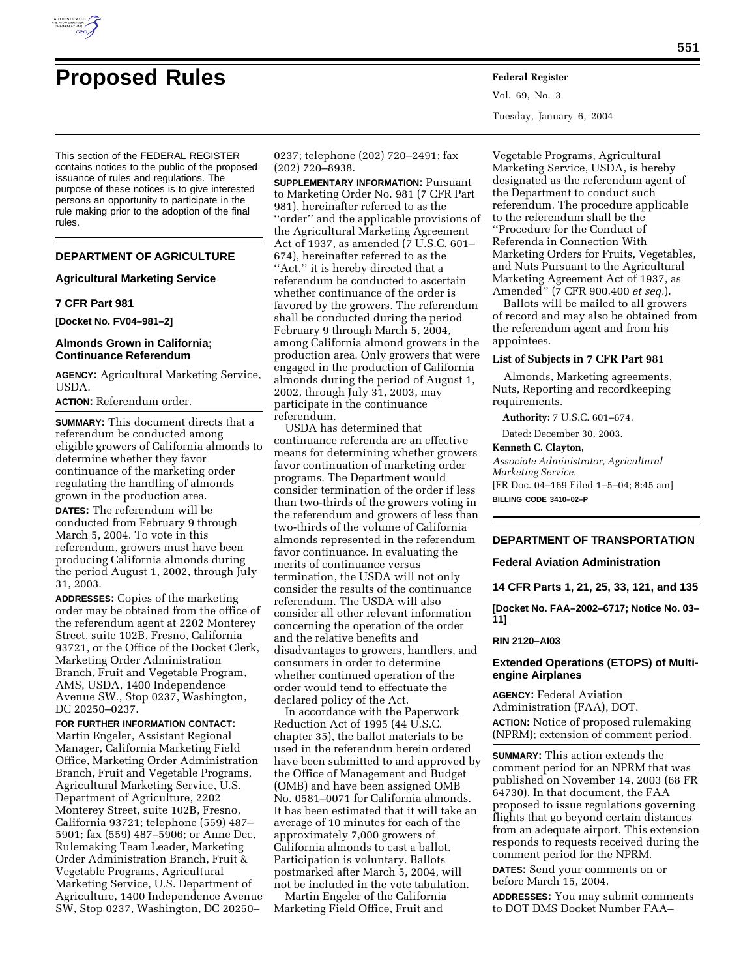

# **Proposed Rules Federal Register**

This section of the FEDERAL REGISTER contains notices to the public of the proposed issuance of rules and regulations. The purpose of these notices is to give interested persons an opportunity to participate in the rule making prior to the adoption of the final rules.

# **DEPARTMENT OF AGRICULTURE**

#### **Agricultural Marketing Service**

# **7 CFR Part 981**

**[Docket No. FV04–981–2]** 

# **Almonds Grown in California; Continuance Referendum**

**AGENCY:** Agricultural Marketing Service, USDA.

# **ACTION:** Referendum order.

**SUMMARY:** This document directs that a referendum be conducted among eligible growers of California almonds to determine whether they favor continuance of the marketing order regulating the handling of almonds grown in the production area. **DATES:** The referendum will be conducted from February 9 through March 5, 2004. To vote in this referendum, growers must have been producing California almonds during the period August 1, 2002, through July 31, 2003.

**ADDRESSES:** Copies of the marketing order may be obtained from the office of the referendum agent at 2202 Monterey Street, suite 102B, Fresno, California 93721, or the Office of the Docket Clerk, Marketing Order Administration Branch, Fruit and Vegetable Program, AMS, USDA, 1400 Independence Avenue SW., Stop 0237, Washington, DC 20250–0237.

**FOR FURTHER INFORMATION CONTACT:** Martin Engeler, Assistant Regional Manager, California Marketing Field Office, Marketing Order Administration Branch, Fruit and Vegetable Programs, Agricultural Marketing Service, U.S. Department of Agriculture, 2202 Monterey Street, suite 102B, Fresno, California 93721; telephone (559) 487– 5901; fax (559) 487–5906; or Anne Dec, Rulemaking Team Leader, Marketing Order Administration Branch, Fruit & Vegetable Programs, Agricultural Marketing Service, U.S. Department of Agriculture, 1400 Independence Avenue SW, Stop 0237, Washington, DC 20250–

0237; telephone (202) 720–2491; fax (202) 720–8938.

**SUPPLEMENTARY INFORMATION:** Pursuant to Marketing Order No. 981 (7 CFR Part 981), hereinafter referred to as the ''order'' and the applicable provisions of the Agricultural Marketing Agreement Act of 1937, as amended (7 U.S.C. 601– 674), hereinafter referred to as the "Act," it is hereby directed that a referendum be conducted to ascertain whether continuance of the order is favored by the growers. The referendum shall be conducted during the period February 9 through March 5, 2004, among California almond growers in the production area. Only growers that were engaged in the production of California almonds during the period of August 1, 2002, through July 31, 2003, may participate in the continuance referendum.

USDA has determined that continuance referenda are an effective means for determining whether growers favor continuation of marketing order programs. The Department would consider termination of the order if less than two-thirds of the growers voting in the referendum and growers of less than two-thirds of the volume of California almonds represented in the referendum favor continuance. In evaluating the merits of continuance versus termination, the USDA will not only consider the results of the continuance referendum. The USDA will also consider all other relevant information concerning the operation of the order and the relative benefits and disadvantages to growers, handlers, and consumers in order to determine whether continued operation of the order would tend to effectuate the declared policy of the Act.

In accordance with the Paperwork Reduction Act of 1995 (44 U.S.C. chapter 35), the ballot materials to be used in the referendum herein ordered have been submitted to and approved by the Office of Management and Budget (OMB) and have been assigned OMB No. 0581–0071 for California almonds. It has been estimated that it will take an average of 10 minutes for each of the approximately 7,000 growers of California almonds to cast a ballot. Participation is voluntary. Ballots postmarked after March 5, 2004, will not be included in the vote tabulation.

Martin Engeler of the California Marketing Field Office, Fruit and

Vol. 69, No. 3 Tuesday, January 6, 2004

Vegetable Programs, Agricultural Marketing Service, USDA, is hereby designated as the referendum agent of the Department to conduct such referendum. The procedure applicable to the referendum shall be the ''Procedure for the Conduct of Referenda in Connection With Marketing Orders for Fruits, Vegetables, and Nuts Pursuant to the Agricultural Marketing Agreement Act of 1937, as Amended'' (7 CFR 900.400 *et seq.*).

Ballots will be mailed to all growers of record and may also be obtained from the referendum agent and from his appointees.

# **List of Subjects in 7 CFR Part 981**

Almonds, Marketing agreements, Nuts, Reporting and recordkeeping requirements.

**Authority:** 7 U.S.C. 601–674.

Dated: December 30, 2003.

# **Kenneth C. Clayton,**

*Associate Administrator, Agricultural Marketing Service.*

[FR Doc. 04–169 Filed 1–5–04; 8:45 am] **BILLING CODE 3410–02–P**

#### **DEPARTMENT OF TRANSPORTATION**

**Federal Aviation Administration** 

**14 CFR Parts 1, 21, 25, 33, 121, and 135** 

**[Docket No. FAA–2002–6717; Notice No. 03– 11]** 

#### **RIN 2120–AI03**

# **Extended Operations (ETOPS) of Multiengine Airplanes**

**AGENCY:** Federal Aviation Administration (FAA), DOT. **ACTION:** Notice of proposed rulemaking (NPRM); extension of comment period.

**SUMMARY:** This action extends the comment period for an NPRM that was published on November 14, 2003 (68 FR 64730). In that document, the FAA proposed to issue regulations governing flights that go beyond certain distances from an adequate airport. This extension responds to requests received during the comment period for the NPRM.

**DATES:** Send your comments on or before March 15, 2004.

**ADDRESSES:** You may submit comments to DOT DMS Docket Number FAA–